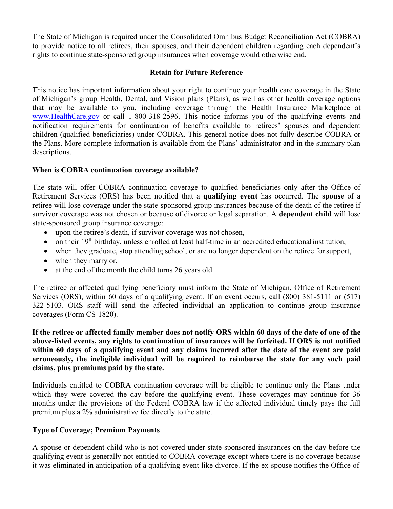The State of Michigan is required under the Consolidated Omnibus Budget Reconciliation Act (COBRA) to provide notice to all retirees, their spouses, and their dependent children regarding each dependent's rights to continue state-sponsored group insurances when coverage would otherwise end.

### **Retain for Future Reference**

This notice has important information about your right to continue your health care coverage in the State of Michigan's group Health, Dental, and Vision plans (Plans), as well as other health coverage options that may be available to you, including coverage through the Health Insurance Marketplace at [www.HealthCare.gov](http://www.healthcare.gov/) or call 1-800-318-2596. This notice informs you of the qualifying events and notification requirements for continuation of benefits available to retirees' spouses and dependent children (qualified beneficiaries) under COBRA. This general notice does not fully describe COBRA or the Plans. More complete information is available from the Plans' administrator and in the summary plan descriptions.

#### **When is COBRA continuation coverage available?**

The state will offer COBRA continuation coverage to qualified beneficiaries only after the Office of Retirement Services (ORS) has been notified that a **qualifying event** has occurred. The **spouse** of a retiree will lose coverage under the state-sponsored group insurances because of the death of the retiree if survivor coverage was not chosen or because of divorce or legal separation. A **dependent child** will lose state-sponsored group insurance coverage:

- upon the retiree's death, if survivor coverage was not chosen,
- on their 19<sup>th</sup> birthday, unless enrolled at least half-time in an accredited educational institution,
- when they graduate, stop attending school, or are no longer dependent on the retiree for support,
- when they marry or,
- at the end of the month the child turns 26 years old.

The retiree or affected qualifying beneficiary must inform the State of Michigan, Office of Retirement Services (ORS), within 60 days of a qualifying event. If an event occurs, call (800) 381-5111 or (517) 322-5103. ORS staff will send the affected individual an application to continue group insurance coverages (Form CS-1820).

**If the retiree or affected family member does not notify ORS within 60 days of the date of one of the above-listed events, any rights to continuation of insurances will be forfeited. If ORS is not notified within 60 days of a qualifying event and any claims incurred after the date of the event are paid erroneously, the ineligible individual will be required to reimburse the state for any such paid claims, plus premiums paid by the state.**

Individuals entitled to COBRA continuation coverage will be eligible to continue only the Plans under which they were covered the day before the qualifying event. These coverages may continue for 36 months under the provisions of the Federal COBRA law if the affected individual timely pays the full premium plus a 2% administrative fee directly to the state.

## **Type of Coverage; Premium Payments**

A spouse or dependent child who is not covered under state-sponsored insurances on the day before the qualifying event is generally not entitled to COBRA coverage except where there is no coverage because it was eliminated in anticipation of a qualifying event like divorce. If the ex-spouse notifies the Office of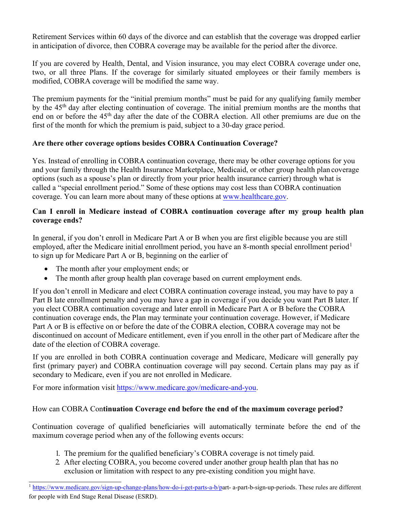Retirement Services within 60 days of the divorce and can establish that the coverage was dropped earlier in anticipation of divorce, then COBRA coverage may be available for the period after the divorce.

If you are covered by Health, Dental, and Vision insurance, you may elect COBRA coverage under one, two, or all three Plans. If the coverage for similarly situated employees or their family members is modified, COBRA coverage will be modified the same way.

The premium payments for the "initial premium months" must be paid for any qualifying family member by the 45th day after electing continuation of coverage. The initial premium months are the months that end on or before the 45th day after the date of the COBRA election. All other premiums are due on the first of the month for which the premium is paid, subject to a 30-day grace period.

# **Are there other coverage options besides COBRA Continuation Coverage?**

Yes. Instead of enrolling in COBRA continuation coverage, there may be other coverage options for you and your family through the Health Insurance Marketplace, Medicaid, or other group health plan coverage options (such as a spouse's plan or directly from your prior health insurance carrier) through what is called a "special enrollment period." Some of these options may cost less than COBRA continuation coverage. You can learn more about many of these options at[www.healthcare.go](www.healthcare.gov)[v.](http://www.healthcare.gov/) 

## **Can I enroll in Medicare instead of COBRA continuation coverage after my group health plan coverage ends?**

In general, if you don't enroll in Medicare Part A or B when you are first eligible because you are still employed, after the Medicare initial enrollment period, you have an 8-month special enrollment period<sup>1</sup> to sign up for Medicare Part A or B, beginning on the earlier of

- The month after your employment ends; or
- The month after group health plan coverage based on current employment ends.

If you don't enroll in Medicare and elect COBRA continuation coverage instead, you may have to pay a Part B late enrollment penalty and you may have a gap in coverage if you decide you want Part B later. If you elect COBRA continuation coverage and later enroll in Medicare Part A or B before the COBRA continuation coverage ends, the Plan may terminate your continuation coverage. However, if Medicare Part A or B is effective on or before the date of the COBRA election, COBRA coverage may not be discontinued on account of Medicare entitlement, even if you enroll in the other part of Medicare after the date of the election of COBRA coverage.

If you are enrolled in both COBRA continuation coverage and Medicare, Medicare will generally pay first (primary payer) and COBRA continuation coverage will pay second. Certain plans may pay as if secondary to Medicare, even if you are not enrolled in Medicare.

For more information visit <https://www.medicare.gov/medicare-and-you>.

## How can COBRA Con**tinuation Coverage end before the end of the maximum coverage period?**

Continuation coverage of qualified beneficiaries will automatically terminate before the end of the maximum coverage period when any of the following events occurs:

- 1. The premium for the qualified beneficiary's COBRA coverage is not timely paid.
- 2. After electing COBRA, you become covered under another group health plan that has no exclusion or limitation with respect to any pre-existing condition you might have.

<sup>&</sup>lt;sup>1</sup> [https://www.medicare.gov/sign-up-change-plans/how-do-i-get-parts-a-b/par](https://www.medicare.gov/sign-up-change-plans/how-do-i-get-parts-a-b)t- a-part-b-sign-up-periods. These rules are different for people with End Stage Renal Disease (ESRD).